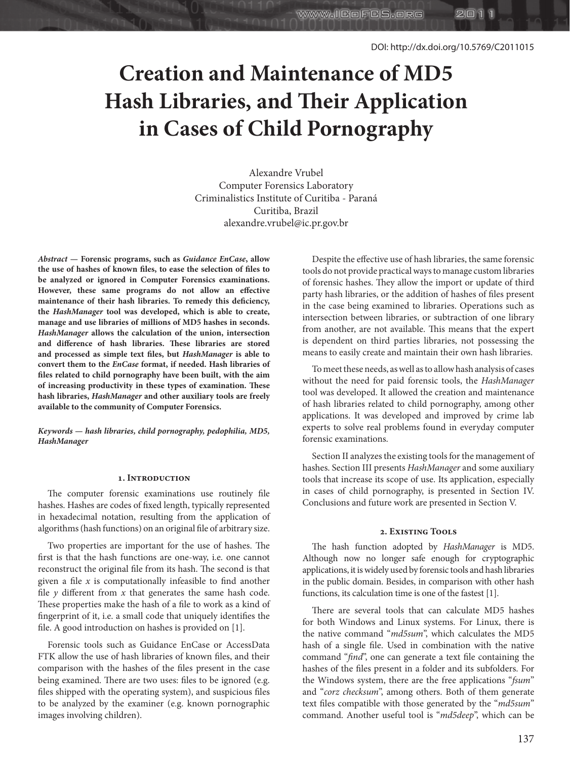スロ

# **Creation and Maintenance of MD5 Hash Libraries, and Their Application in Cases of Child Pornography**

**WWW.ICOFCS.ORG** 

Alexandre Vrubel Computer Forensics Laboratory Criminalistics Institute of Curitiba - Paraná Curitiba, Brazil alexandre.vrubel@ic.pr.gov.br

*Abstract* **— Forensic programs, such as** *Guidance EnCase***, allow the use of hashes of known files, to ease the selection of files to be analyzed or ignored in Computer Forensics examinations. However, these same programs do not allow an effective maintenance of their hash libraries. To remedy this deficiency, the** *HashManager* **tool was developed, which is able to create, manage and use libraries of millions of MD5 hashes in seconds.**  *HashManager* **allows the calculation of the union, intersection and difference of hash libraries. These libraries are stored and processed as simple text files, but** *HashManager* **is able to convert them to the** *EnCase* **format, if needed. Hash libraries of files related to child pornography have been built, with the aim of increasing productivity in these types of examination. These hash libraries,** *HashManager* **and other auxiliary tools are freely available to the community of Computer Forensics.**

*Keywords* **—** *hash libraries, child pornography, pedophilia, MD5, HashManager*

## **1. Introduction**

The computer forensic examinations use routinely file hashes. Hashes are codes of fixed length, typically represented in hexadecimal notation, resulting from the application of algorithms (hash functions) on an original file of arbitrary size.

Two properties are important for the use of hashes. The first is that the hash functions are one-way, i.e. one cannot reconstruct the original file from its hash. The second is that given a file *x* is computationally infeasible to find another file  $y$  different from  $x$  that generates the same hash code. These properties make the hash of a file to work as a kind of fingerprint of it, i.e. a small code that uniquely identifies the file. A good introduction on hashes is provided on [1].

Forensic tools such as Guidance EnCase or AccessData FTK allow the use of hash libraries of known files, and their comparison with the hashes of the files present in the case being examined. There are two uses: files to be ignored (e.g. files shipped with the operating system), and suspicious files to be analyzed by the examiner (e.g. known pornographic images involving children).

Despite the effective use of hash libraries, the same forensic tools do not provide practical ways to manage custom libraries of forensic hashes. They allow the import or update of third party hash libraries, or the addition of hashes of files present in the case being examined to libraries. Operations such as intersection between libraries, or subtraction of one library from another, are not available. This means that the expert is dependent on third parties libraries, not possessing the means to easily create and maintain their own hash libraries.

To meet these needs, as well as to allow hash analysis of cases without the need for paid forensic tools, the *HashManager* tool was developed. It allowed the creation and maintenance of hash libraries related to child pornography, among other applications. It was developed and improved by crime lab experts to solve real problems found in everyday computer forensic examinations.

Section II analyzes the existing tools for the management of hashes. Section III presents *HashManager* and some auxiliary tools that increase its scope of use. Its application, especially in cases of child pornography, is presented in Section IV. Conclusions and future work are presented in Section V.

## **2. Existing Tools**

The hash function adopted by *HashManager* is MD5. Although now no longer safe enough for cryptographic applications, it is widely used by forensic tools and hash libraries in the public domain. Besides, in comparison with other hash functions, its calculation time is one of the fastest [1].

There are several tools that can calculate MD5 hashes for both Windows and Linux systems. For Linux, there is the native command "*md5sum*", which calculates the MD5 hash of a single file. Used in combination with the native command "*find*", one can generate a text file containing the hashes of the files present in a folder and its subfolders. For the Windows system, there are the free applications "*fsum*" and "*corz checksum*", among others. Both of them generate text files compatible with those generated by the "*md5sum*" command. Another useful tool is "*md5deep*", which can be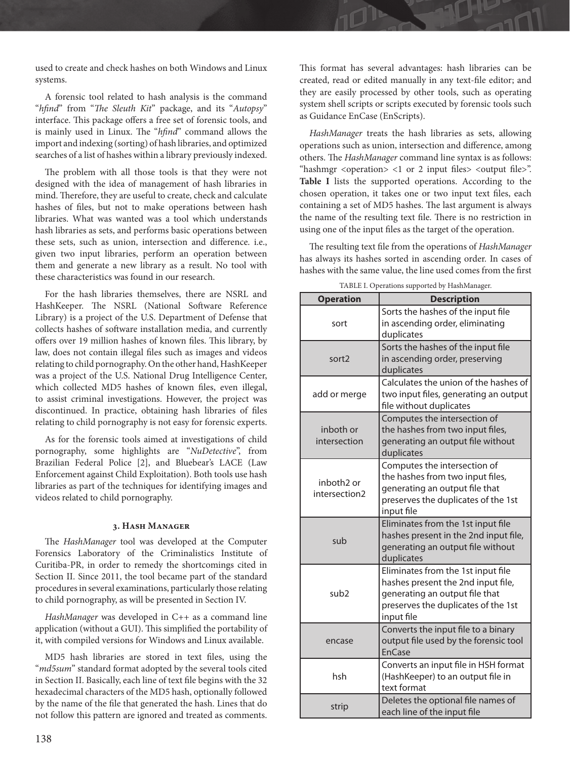used to create and check hashes on both Windows and Linux systems.

A forensic tool related to hash analysis is the command "*hfind*" from "*The Sleuth Kit*" package, and its "*Autopsy*" interface. This package offers a free set of forensic tools, and is mainly used in Linux. The "*hfind*" command allows the import and indexing (sorting) of hash libraries, and optimized searches of a list of hashes within a library previously indexed.

The problem with all those tools is that they were not designed with the idea of management of hash libraries in mind. Therefore, they are useful to create, check and calculate hashes of files, but not to make operations between hash libraries. What was wanted was a tool which understands hash libraries as sets, and performs basic operations between these sets, such as union, intersection and difference. i.e., given two input libraries, perform an operation between them and generate a new library as a result. No tool with these characteristics was found in our research.

For the hash libraries themselves, there are NSRL and HashKeeper. The NSRL (National Software Reference Library) is a project of the U.S. Department of Defense that collects hashes of software installation media, and currently offers over 19 million hashes of known files. This library, by law, does not contain illegal files such as images and videos relating to child pornography. On the other hand, HashKeeper was a project of the U.S. National Drug Intelligence Center, which collected MD5 hashes of known files, even illegal, to assist criminal investigations. However, the project was discontinued. In practice, obtaining hash libraries of files relating to child pornography is not easy for forensic experts.

As for the forensic tools aimed at investigations of child pornography, some highlights are "*NuDetective*", from Brazilian Federal Police [2], and Bluebear's LACE (Law Enforcement against Child Exploitation). Both tools use hash libraries as part of the techniques for identifying images and videos related to child pornography.

## **3. Hash Manager**

The *HashManager* tool was developed at the Computer Forensics Laboratory of the Criminalistics Institute of Curitiba-PR, in order to remedy the shortcomings cited in Section II. Since 2011, the tool became part of the standard procedures in several examinations, particularly those relating to child pornography, as will be presented in Section IV.

*HashManager* was developed in C++ as a command line application (without a GUI). This simplified the portability of it, with compiled versions for Windows and Linux available.

MD5 hash libraries are stored in text files, using the "*md5sum*" standard format adopted by the several tools cited in Section II. Basically, each line of text file begins with the 32 hexadecimal characters of the MD5 hash, optionally followed by the name of the file that generated the hash. Lines that do not follow this pattern are ignored and treated as comments.

This format has several advantages: hash libraries can be created, read or edited manually in any text-file editor; and they are easily processed by other tools, such as operating system shell scripts or scripts executed by forensic tools such as Guidance EnCase (EnScripts).

*HashManager* treats the hash libraries as sets, allowing operations such as union, intersection and difference, among others. The *HashManager* command line syntax is as follows: "hashmgr  $\langle$  operation $>$   $\langle$  1 or 2 input files $>$   $\langle$  output file $>$ ". **Table I** lists the supported operations. According to the chosen operation, it takes one or two input text files, each containing a set of MD5 hashes. The last argument is always the name of the resulting text file. There is no restriction in using one of the input files as the target of the operation.

The resulting text file from the operations of *HashManager* has always its hashes sorted in ascending order. In cases of hashes with the same value, the line used comes from the first

| <b>Operation</b>                        | <b>Description</b>                                                                                                                                              |  |  |
|-----------------------------------------|-----------------------------------------------------------------------------------------------------------------------------------------------------------------|--|--|
| sort                                    | Sorts the hashes of the input file<br>in ascending order, eliminating<br>duplicates                                                                             |  |  |
| sort <sub>2</sub>                       | Sorts the hashes of the input file<br>in ascending order, preserving<br>duplicates                                                                              |  |  |
| add or merge                            | Calculates the union of the hashes of<br>two input files, generating an output<br>file without duplicates                                                       |  |  |
| inboth or<br>intersection               | Computes the intersection of<br>the hashes from two input files,<br>generating an output file without<br>duplicates                                             |  |  |
| inboth <sub>2</sub> or<br>intersection2 | Computes the intersection of<br>the hashes from two input files,<br>generating an output file that<br>preserves the duplicates of the 1st<br>input file         |  |  |
| sub                                     | Eliminates from the 1st input file<br>hashes present in the 2nd input file,<br>generating an output file without<br>duplicates                                  |  |  |
| sub <sub>2</sub>                        | Eliminates from the 1st input file<br>hashes present the 2nd input file,<br>generating an output file that<br>preserves the duplicates of the 1st<br>input file |  |  |
| encase                                  | Converts the input file to a binary<br>output file used by the forensic tool<br><b>EnCase</b>                                                                   |  |  |
| hsh                                     | Converts an input file in HSH format<br>(HashKeeper) to an output file in<br>text format                                                                        |  |  |
| strip                                   | Deletes the optional file names of<br>each line of the input file                                                                                               |  |  |

TABLE I. Operations supported by HashManager.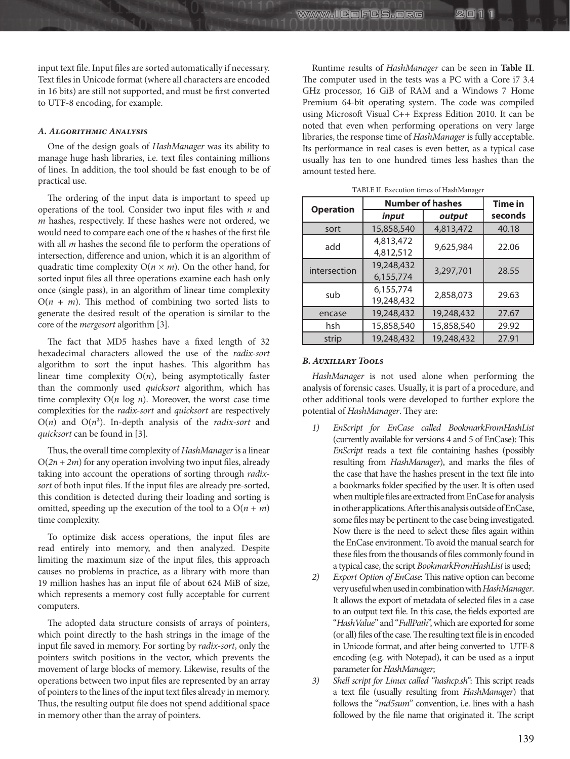input text file. Input files are sorted automatically if necessary. Text files in Unicode format (where all characters are encoded in 16 bits) are still not supported, and must be first converted to UTF-8 encoding, for example.

## *A. Algorithmic Analysis*

One of the design goals of *HashManager* was its ability to manage huge hash libraries, i.e. text files containing millions of lines. In addition, the tool should be fast enough to be of practical use.

The ordering of the input data is important to speed up operations of the tool. Consider two input files with *n* and *m* hashes, respectively. If these hashes were not ordered, we would need to compare each one of the *n* hashes of the first file with all *m* hashes the second file to perform the operations of intersection, difference and union, which it is an algorithm of quadratic time complexity  $O(n \times m)$ . On the other hand, for sorted input files all three operations examine each hash only once (single pass), in an algorithm of linear time complexity  $O(n + m)$ . This method of combining two sorted lists to generate the desired result of the operation is similar to the core of the *mergesort* algorithm [3].

The fact that MD5 hashes have a fixed length of 32 hexadecimal characters allowed the use of the *radix-sort* algorithm to sort the input hashes. This algorithm has linear time complexity  $O(n)$ , being asymptotically faster than the commonly used *quicksort* algorithm, which has time complexity  $O(n \log n)$ . Moreover, the worst case time complexities for the *radix-sort* and *quicksort* are respectively  $O(n)$  and  $O(n^2)$ . In-depth analysis of the *radix-sort* and *quicksort* can be found in [3].

Thus, the overall time complexity of *HashManager* is a linear  $O(2n + 2m)$  for any operation involving two input files, already taking into account the operations of sorting through *radixsort* of both input files. If the input files are already pre-sorted, this condition is detected during their loading and sorting is omitted, speeding up the execution of the tool to a  $O(n + m)$ time complexity.

To optimize disk access operations, the input files are read entirely into memory, and then analyzed. Despite limiting the maximum size of the input files, this approach causes no problems in practice, as a library with more than 19 million hashes has an input file of about 624 MiB of size, which represents a memory cost fully acceptable for current computers.

The adopted data structure consists of arrays of pointers, which point directly to the hash strings in the image of the input file saved in memory. For sorting by *radix-sort*, only the pointers switch positions in the vector, which prevents the movement of large blocks of memory. Likewise, results of the operations between two input files are represented by an array of pointers to the lines of the input text files already in memory. Thus, the resulting output file does not spend additional space in memory other than the array of pointers.

Runtime results of *HashManager* can be seen in **Table II**. The computer used in the tests was a PC with a Core i7 3.4 GHz processor, 16 GiB of RAM and a Windows 7 Home Premium 64-bit operating system. The code was compiled using Microsoft Visual C++ Express Edition 2010. It can be noted that even when performing operations on very large libraries, the response time of *HashManager* is fully acceptable. Its performance in real cases is even better, as a typical case usually has ten to one hundred times less hashes than the amount tested here.

スロ

**www.IGoFGS.org** 

| 17 OLL 11, LACCULTON THING OF FRIGHT MINIMUM |                         |                |         |  |
|----------------------------------------------|-------------------------|----------------|---------|--|
| <b>Operation</b>                             | <b>Number of hashes</b> | <b>Time in</b> |         |  |
|                                              | input                   | output         | seconds |  |
| sort                                         | 15,858,540              | 4,813,472      | 40.18   |  |
| add                                          | 4,813,472<br>4,812,512  | 9,625,984      | 22.06   |  |
| intersection                                 | 19,248,432<br>6,155,774 | 3,297,701      | 28.55   |  |
| sub                                          | 6,155,774<br>19,248,432 | 2,858,073      | 29.63   |  |
| encase                                       | 19,248,432              | 19,248,432     | 27.67   |  |
| hsh                                          | 15,858,540              | 15,858,540     | 29.92   |  |
| strip                                        | 19,248,432              | 19,248,432     | 27.91   |  |

TABLE II. Execution times of HashManager

## *B. Auxiliary Tools*

*HashManager* is not used alone when performing the analysis of forensic cases. Usually, it is part of a procedure, and other additional tools were developed to further explore the potential of *HashManager*. They are:

- *1) EnScript for EnCase called BookmarkFromHashList*  (currently available for versions 4 and 5 of EnCase): This *EnScript* reads a text file containing hashes (possibly resulting from *HashManager*), and marks the files of the case that have the hashes present in the text file into a bookmarks folder specified by the user. It is often used when multiple files are extracted from EnCase for analysis in other applications. After this analysis outside of EnCase, some files may be pertinent to the case being investigated. Now there is the need to select these files again within the EnCase environment. To avoid the manual search for these files from the thousands of files commonly found in a typical case, the script *BookmarkFromHashList* is used;
- *2) Export Option of EnCase*: This native option can become very useful when used in combination with *HashManager*. It allows the export of metadata of selected files in a case to an output text file. In this case, the fields exported are "*HashValue*" and "*FullPath*", which are exported for some (or all) files of the case. The resulting text file is in encoded in Unicode format, and after being converted to UTF-8 encoding (e.g. with Notepad), it can be used as a input parameter for *HashManager*;
- *3) Shell script for Linux called "hashcp.sh"*: This script reads a text file (usually resulting from *HashManager*) that follows the "*md5sum*" convention, i.e. lines with a hash followed by the file name that originated it. The script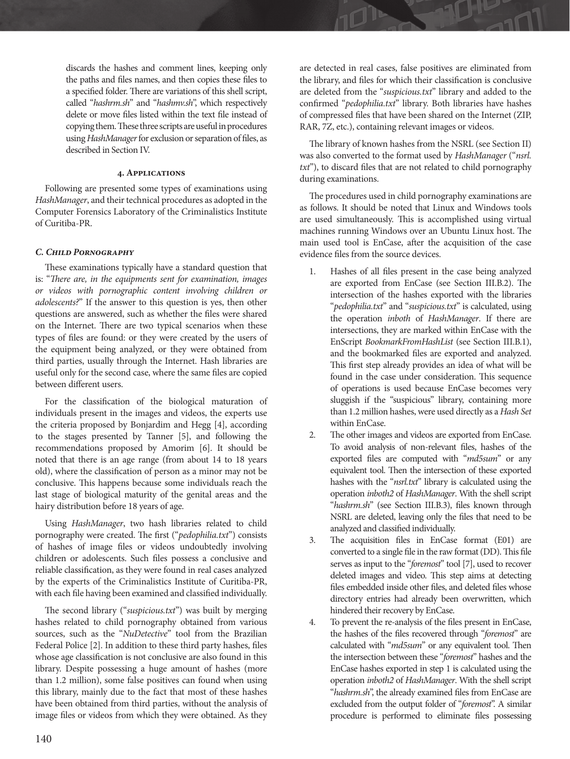discards the hashes and comment lines, keeping only the paths and files names, and then copies these files to a specified folder. There are variations of this shell script, called "*hashrm.sh*" and "*hashmv.sh*", which respectively delete or move files listed within the text file instead of copying them. These three scripts are useful in procedures using *HashManager* for exclusion or separation of files, as described in Section IV.

## **4. Applications**

Following are presented some types of examinations using *HashManager*, and their technical procedures as adopted in the Computer Forensics Laboratory of the Criminalistics Institute of Curitiba-PR.

## *C. Child Pornography*

These examinations typically have a standard question that is: "*There are, in the equipments sent for examination, images or videos with pornographic content involving children or adolescents?*" If the answer to this question is yes, then other questions are answered, such as whether the files were shared on the Internet. There are two typical scenarios when these types of files are found: or they were created by the users of the equipment being analyzed, or they were obtained from third parties, usually through the Internet. Hash libraries are useful only for the second case, where the same files are copied between different users.

For the classification of the biological maturation of individuals present in the images and videos, the experts use the criteria proposed by Bonjardim and Hegg [4], according to the stages presented by Tanner [5], and following the recommendations proposed by Amorim [6]. It should be noted that there is an age range (from about 14 to 18 years old), where the classification of person as a minor may not be conclusive. This happens because some individuals reach the last stage of biological maturity of the genital areas and the hairy distribution before 18 years of age.

Using *HashManager*, two hash libraries related to child pornography were created. The first ("*pedophilia.txt*") consists of hashes of image files or videos undoubtedly involving children or adolescents. Such files possess a conclusive and reliable classification, as they were found in real cases analyzed by the experts of the Criminalistics Institute of Curitiba-PR, with each file having been examined and classified individually.

The second library ("*suspicious.txt*") was built by merging hashes related to child pornography obtained from various sources, such as the "*NuDetective*" tool from the Brazilian Federal Police [2]. In addition to these third party hashes, files whose age classification is not conclusive are also found in this library. Despite possessing a huge amount of hashes (more than 1.2 million), some false positives can found when using this library, mainly due to the fact that most of these hashes have been obtained from third parties, without the analysis of image files or videos from which they were obtained. As they

are detected in real cases, false positives are eliminated from the library, and files for which their classification is conclusive are deleted from the "*suspicious.txt*" library and added to the confirmed "*pedophilia.txt*" library. Both libraries have hashes of compressed files that have been shared on the Internet (ZIP, RAR, 7Z, etc.), containing relevant images or videos.

The library of known hashes from the NSRL (see Section II) was also converted to the format used by *HashManager* ("*nsrl. txt*"), to discard files that are not related to child pornography during examinations.

The procedures used in child pornography examinations are as follows. It should be noted that Linux and Windows tools are used simultaneously. This is accomplished using virtual machines running Windows over an Ubuntu Linux host. The main used tool is EnCase, after the acquisition of the case evidence files from the source devices.

- Hashes of all files present in the case being analyzed are exported from EnCase (see Section III.B.2). The intersection of the hashes exported with the libraries "*pedophilia.txt*" and "*suspicious.txt*" is calculated, using the operation *inboth* of *HashManager*. If there are intersections, they are marked within EnCase with the EnScript *BookmarkFromHashList* (see Section III.B.1), and the bookmarked files are exported and analyzed. This first step already provides an idea of what will be found in the case under consideration. This sequence of operations is used because EnCase becomes very sluggish if the "suspicious" library, containing more than 1.2 million hashes, were used directly as a *Hash Set*  within EnCase.
- 2. The other images and videos are exported from EnCase. To avoid analysis of non-relevant files, hashes of the exported files are computed with "*md5sum*" or any equivalent tool. Then the intersection of these exported hashes with the "*nsrl.txt*" library is calculated using the operation *inboth2* of *HashManager*. With the shell script "*hashrm.sh*" (see Section III.B.3), files known through NSRL are deleted, leaving only the files that need to be analyzed and classified individually.
- 3. The acquisition files in EnCase format (E01) are converted to a single file in the raw format (DD). This file serves as input to the "*foremost*" tool [7], used to recover deleted images and video. This step aims at detecting files embedded inside other files, and deleted files whose directory entries had already been overwritten, which hindered their recovery by EnCase.
- 4. To prevent the re-analysis of the files present in EnCase, the hashes of the files recovered through "*foremost*" are calculated with "*md5sum*" or any equivalent tool. Then the intersection between these "*foremost*" hashes and the EnCase hashes exported in step 1 is calculated using the operation *inboth2* of *HashManager*. With the shell script "*hashrm.sh*", the already examined files from EnCase are excluded from the output folder of "*foremost*". A similar procedure is performed to eliminate files possessing